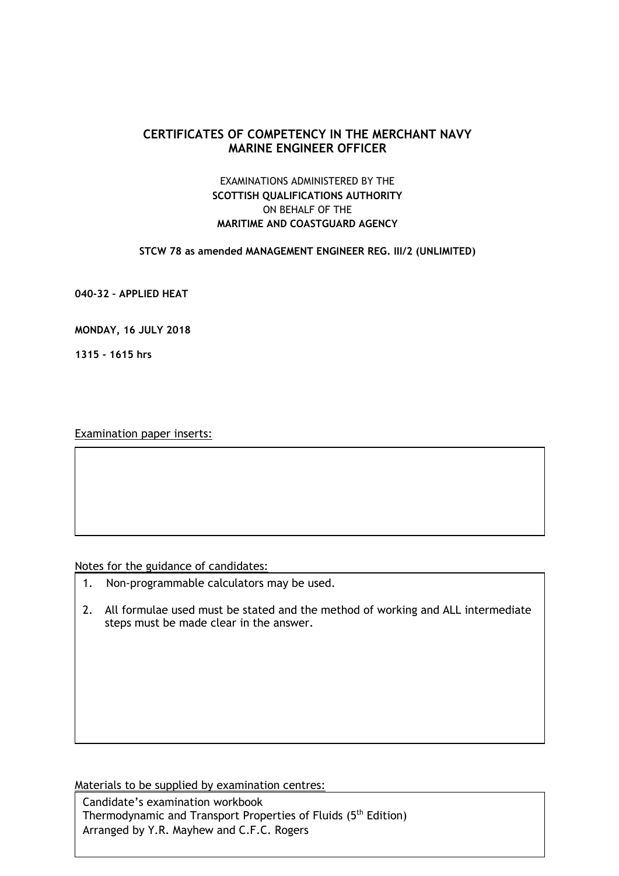# **CERTIFICATES OF COMPETENCY IN THE MERCHANT NAVY MARINE ENGINEER OFFICER**

# EXAMINATIONS ADMINISTERED BY THE **SCOTTISH QUALIFICATIONS AUTHORITY** ON BEHALF OF THE **MARITIME AND COASTGUARD AGENCY**

#### **STCW 78 as amended MANAGEMENT ENGINEER REG. III/2 (UNLIMITED)**

**040-32 – APPLIED HEAT**

### **MONDAY, 16 JULY 2018**

**1315 - 1615 hrs**

Examination paper inserts:

#### Notes for the guidance of candidates:

- 1. Non-programmable calculators may be used.
- 2. All formulae used must be stated and the method of working and ALL intermediate steps must be made clear in the answer.

Materials to be supplied by examination centres:

Candidate's examination workbook Thermodynamic and Transport Properties of Fluids (5<sup>th</sup> Edition) Arranged by Y.R. Mayhew and C.F.C. Rogers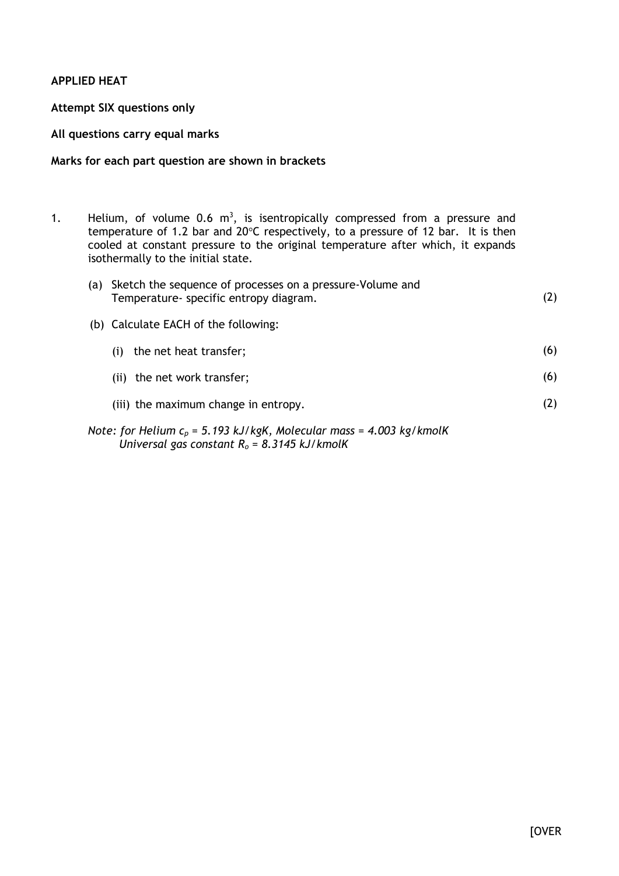# **APPLIED HEAT**

## **Attempt SIX questions only**

### **All questions carry equal marks**

## **Marks for each part question are shown in brackets**

1. Helium, of volume 0.6  $m<sup>3</sup>$ , is isentropically compressed from a pressure and temperature of 1.2 bar and 20°C respectively, to a pressure of 12 bar. It is then cooled at constant pressure to the original temperature after which, it expands isothermally to the initial state.

| (a) Sketch the sequence of processes on a pressure-Volume and<br>Temperature- specific entropy diagram. | (2) |
|---------------------------------------------------------------------------------------------------------|-----|
| (b) Calculate EACH of the following:                                                                    |     |
| the net heat transfer;<br>(i)                                                                           | (6) |
| (ii) the net work transfer;                                                                             | (6) |
| (iii) the maximum change in entropy.                                                                    | (2) |
| Note: for Helium $c_p = 5.193$ kJ/kgK, Molecular mass = 4.003 kg/kmolK                                  |     |

*Universal gas constant R<sup>o</sup> = 8.3145 kJ/kmolK*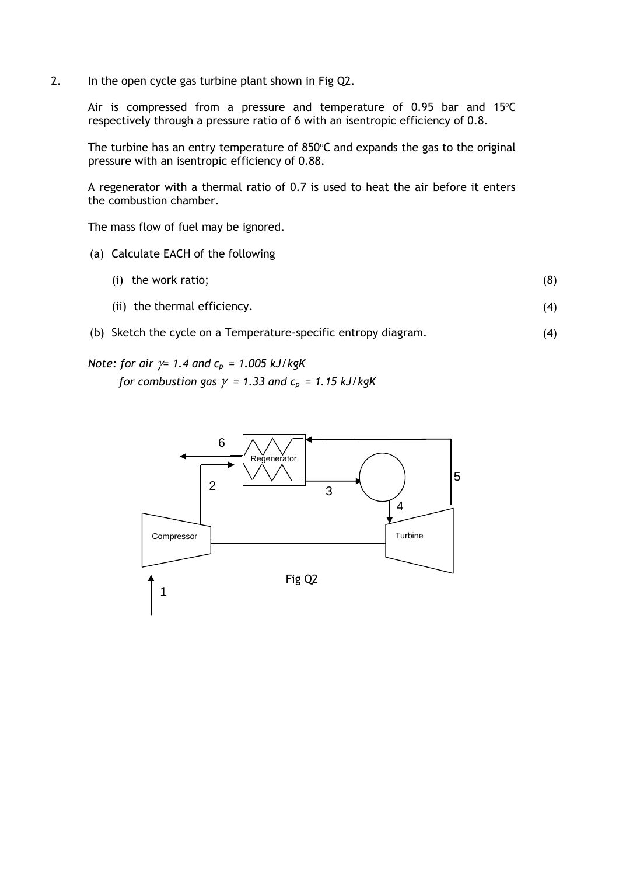2. In the open cycle gas turbine plant shown in Fig Q2.

Air is compressed from a pressure and temperature of 0.95 bar and 15ºC respectively through a pressure ratio of 6 with an isentropic efficiency of 0.8.

The turbine has an entry temperature of 850ºC and expands the gas to the original pressure with an isentropic efficiency of 0.88.

A regenerator with a thermal ratio of 0.7 is used to heat the air before it enters the combustion chamber.

The mass flow of fuel may be ignored.

- (a) Calculate EACH of the following
	- (i) the work ratio; (8)
	- (ii) the thermal efficiency. (4)
- (b) Sketch the cycle on a Temperature-specific entropy diagram. (4)

*Note: for air = 1.4 and cp = 1.005 kJ/kgK for combustion gas*  $\gamma$  *= 1.33 and*  $c_p$  *= 1.15 kJ/kgK* 

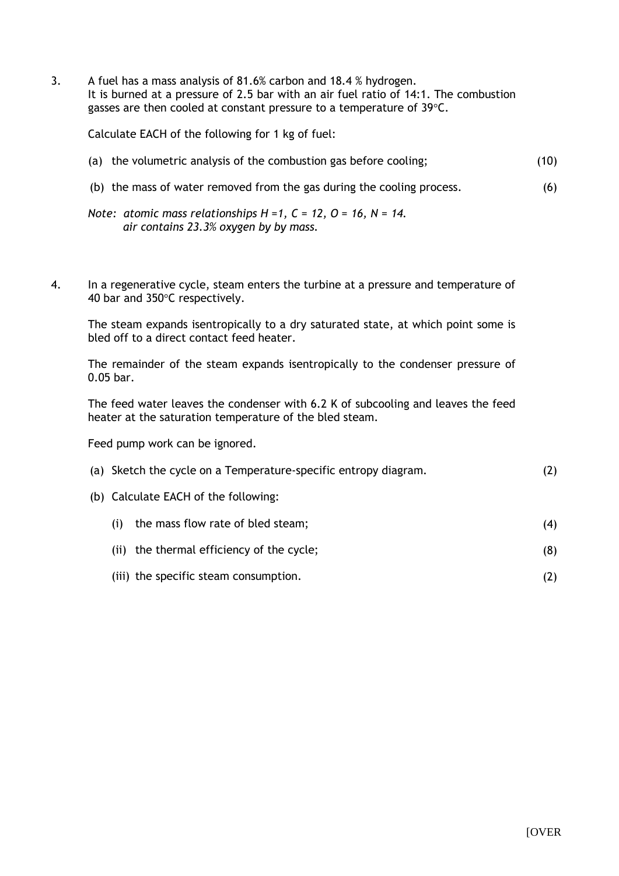3. A fuel has a mass analysis of 81.6% carbon and 18.4 % hydrogen. It is burned at a pressure of 2.5 bar with an air fuel ratio of 14:1. The combustion gasses are then cooled at constant pressure to a temperature of 39°C.

Calculate EACH of the following for 1 kg of fuel:

- (a) the volumetric analysis of the combustion gas before cooling; (10)
- (b) the mass of water removed from the gas during the cooling process. (6)
- *Note: atomic mass relationships H =1, C = 12, O = 16, N = 14. air contains 23.3% oxygen by by mass.*
- 4. In a regenerative cycle, steam enters the turbine at a pressure and temperature of 40 bar and 350°C respectively.

The steam expands isentropically to a dry saturated state, at which point some is bled off to a direct contact feed heater.

The remainder of the steam expands isentropically to the condenser pressure of 0.05 bar.

The feed water leaves the condenser with 6.2 K of subcooling and leaves the feed heater at the saturation temperature of the bled steam.

Feed pump work can be ignored.

| (a) Sketch the cycle on a Temperature-specific entropy diagram. |  |
|-----------------------------------------------------------------|--|
| (b) Calculate EACH of the following:                            |  |

- (i) the mass flow rate of bled steam; (4)
- (ii) the thermal efficiency of the cycle; (8)
- (iii) the specific steam consumption. (2)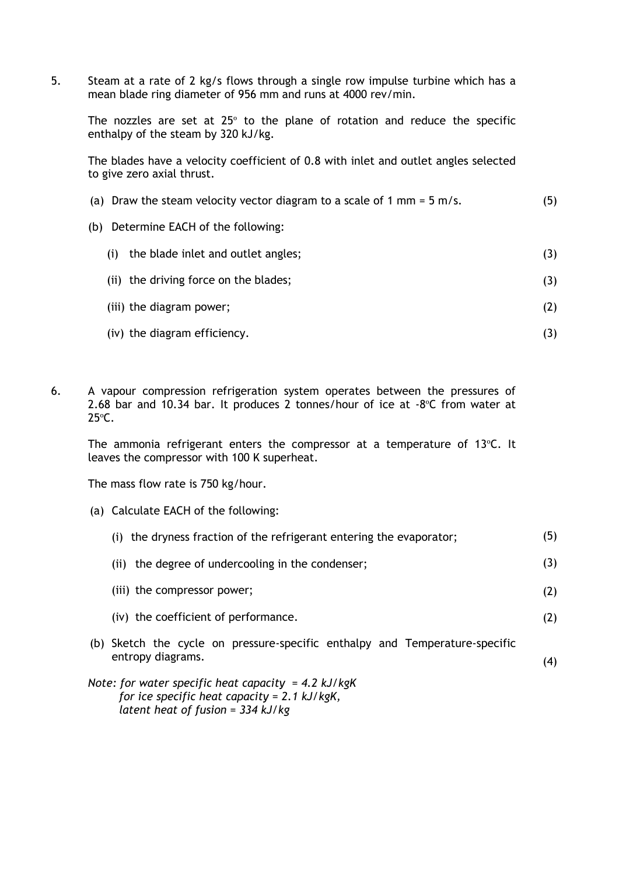5. Steam at a rate of 2 kg/s flows through a single row impulse turbine which has a mean blade ring diameter of 956 mm and runs at 4000 rev/min.

The nozzles are set at 25° to the plane of rotation and reduce the specific enthalpy of the steam by 320 kJ/kg.

The blades have a velocity coefficient of 0.8 with inlet and outlet angles selected to give zero axial thrust.

| (a) Draw the steam velocity vector diagram to a scale of 1 mm = $5$ m/s. | (5) |
|--------------------------------------------------------------------------|-----|
| Determine EACH of the following:<br>(b)                                  |     |
| the blade inlet and outlet angles;<br>(i)                                | (3) |
| (ii) the driving force on the blades;                                    | (3) |
| (iii) the diagram power;                                                 | (2) |
| (iv) the diagram efficiency.                                             | (3) |

6. A vapour compression refrigeration system operates between the pressures of 2.68 bar and 10.34 bar. It produces 2 tonnes/hour of ice at -8ºC from water at 25ºC.

The ammonia refrigerant enters the compressor at a temperature of 13ºC. It leaves the compressor with 100 K superheat.

The mass flow rate is 750 kg/hour.

(a) Calculate EACH of the following:

| (i) the dryness fraction of the refrigerant entering the evaporator;                                  | (5) |
|-------------------------------------------------------------------------------------------------------|-----|
| the degree of undercooling in the condenser;<br>(ii)                                                  | (3) |
| (iii) the compressor power;                                                                           | (2) |
| (iv) the coefficient of performance.                                                                  | (2) |
| (b) Sketch the cycle on pressure-specific enthalpy and Temperature-specific<br>entropy diagrams.      | (4) |
| Note: for water specific heat capacity = 4.2 kJ/kgK<br>for ice specific heat capacity = $2.1$ kJ/kgK, |     |

*latent heat of fusion = 334 kJ/kg*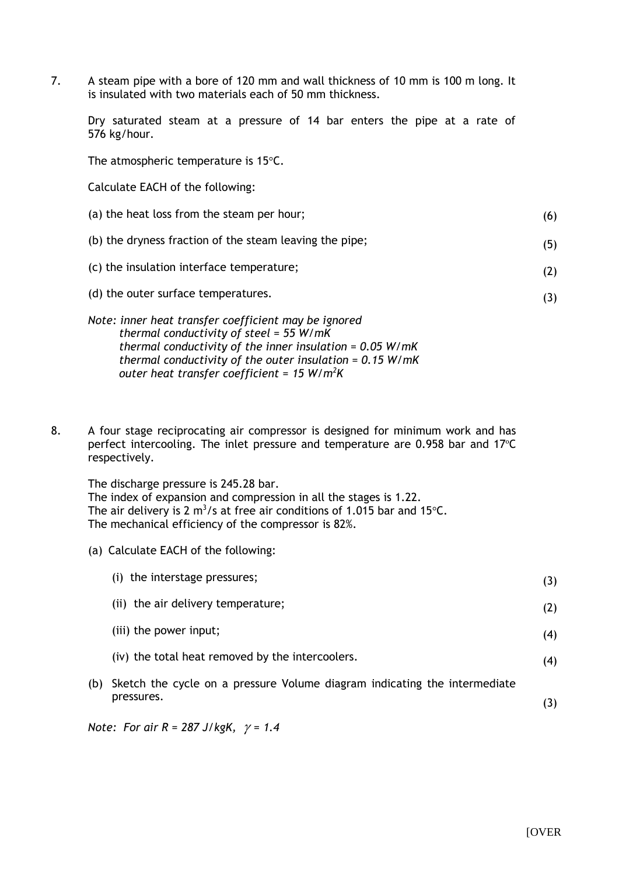7. A steam pipe with a bore of 120 mm and wall thickness of 10 mm is 100 m long. It is insulated with two materials each of 50 mm thickness.

Dry saturated steam at a pressure of 14 bar enters the pipe at a rate of 576 kg/hour.

The atmospheric temperature is 15°C.

Calculate EACH of the following:

| (a) the heat loss from the steam per hour;                                                        | (6) |
|---------------------------------------------------------------------------------------------------|-----|
| (b) the dryness fraction of the steam leaving the pipe;                                           | (5) |
| (c) the insulation interface temperature;                                                         | (2) |
| (d) the outer surface temperatures.                                                               | (3) |
| Note: inner heat transfer coefficient may be ignored<br>thermal conductivity of steel = $55 W/mK$ |     |

- *thermal conductivity of steel = 55 W/mK thermal conductivity of the inner insulation = 0.05 W/mK thermal conductivity of the outer insulation = 0.15 W/mK outer heat transfer coefficient = 15 W/m<sup>2</sup>K*
- 8. A four stage reciprocating air compressor is designed for minimum work and has perfect intercooling. The inlet pressure and temperature are 0.958 bar and 17ºC respectively.

The discharge pressure is 245.28 bar. The index of expansion and compression in all the stages is 1.22. The air delivery is 2 m<sup>3</sup>/s at free air conditions of 1.015 bar and 15 $\degree$ C. The mechanical efficiency of the compressor is 82%.

(a) Calculate EACH of the following:

|     | (i) the interstage pressures;                                                           | (3) |
|-----|-----------------------------------------------------------------------------------------|-----|
|     | (ii) the air delivery temperature;                                                      | (2) |
|     | (iii) the power input;                                                                  | (4) |
|     | (iv) the total heat removed by the intercoolers.                                        | (4) |
| (b) | Sketch the cycle on a pressure Volume diagram indicating the intermediate<br>pressures. |     |
|     |                                                                                         | (3) |

*Note: For air R = 287 J/kgK,*  $\gamma$  *= 1.4*